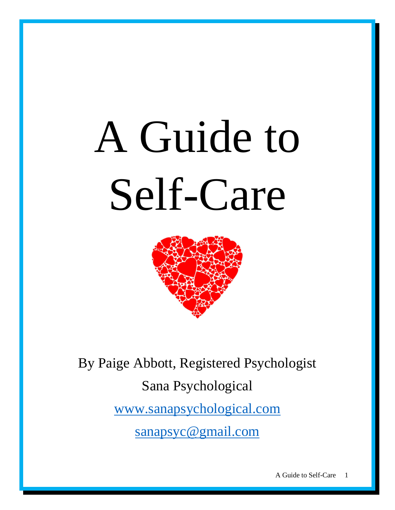# A Guide to Self-Care



By Paige Abbott, Registered Psychologist Sana Psychological [www.sanapsychological.com](http://www.sanapsychological.com/) [sanapsyc@gmail.com](mailto:sanapsyc@gmail.com)

A Guide to Self-Care 1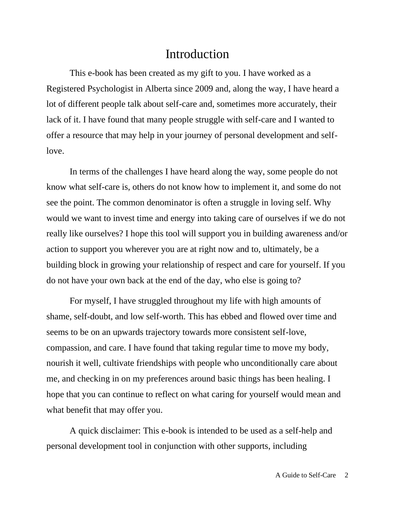## Introduction

This e-book has been created as my gift to you. I have worked as a Registered Psychologist in Alberta since 2009 and, along the way, I have heard a lot of different people talk about self-care and, sometimes more accurately, their lack of it. I have found that many people struggle with self-care and I wanted to offer a resource that may help in your journey of personal development and selflove.

In terms of the challenges I have heard along the way, some people do not know what self-care is, others do not know how to implement it, and some do not see the point. The common denominator is often a struggle in loving self. Why would we want to invest time and energy into taking care of ourselves if we do not really like ourselves? I hope this tool will support you in building awareness and/or action to support you wherever you are at right now and to, ultimately, be a building block in growing your relationship of respect and care for yourself. If you do not have your own back at the end of the day, who else is going to?

For myself, I have struggled throughout my life with high amounts of shame, self-doubt, and low self-worth. This has ebbed and flowed over time and seems to be on an upwards trajectory towards more consistent self-love, compassion, and care. I have found that taking regular time to move my body, nourish it well, cultivate friendships with people who unconditionally care about me, and checking in on my preferences around basic things has been healing. I hope that you can continue to reflect on what caring for yourself would mean and what benefit that may offer you.

A quick disclaimer: This e-book is intended to be used as a self-help and personal development tool in conjunction with other supports, including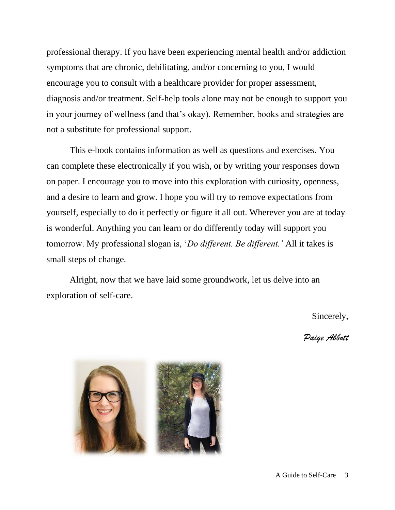professional therapy. If you have been experiencing mental health and/or addiction symptoms that are chronic, debilitating, and/or concerning to you, I would encourage you to consult with a healthcare provider for proper assessment, diagnosis and/or treatment. Self-help tools alone may not be enough to support you in your journey of wellness (and that's okay). Remember, books and strategies are not a substitute for professional support.

This e-book contains information as well as questions and exercises. You can complete these electronically if you wish, or by writing your responses down on paper. I encourage you to move into this exploration with curiosity, openness, and a desire to learn and grow. I hope you will try to remove expectations from yourself, especially to do it perfectly or figure it all out. Wherever you are at today is wonderful. Anything you can learn or do differently today will support you tomorrow. My professional slogan is, '*Do different. Be different.'* All it takes is small steps of change.

Alright, now that we have laid some groundwork, let us delve into an exploration of self-care.

Sincerely,

*Paige Abbott*

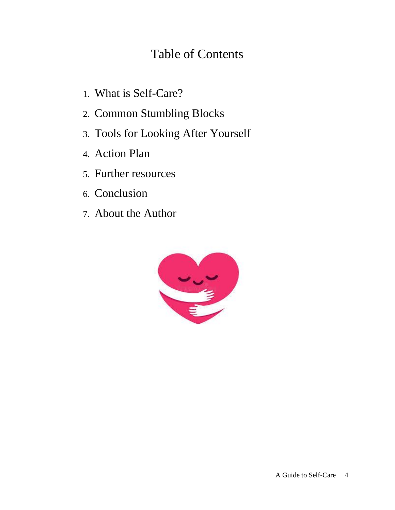# Table of Contents

- 1. What is Self-Care?
- 2. Common Stumbling Blocks
- 3. Tools for Looking After Yourself
- 4. Action Plan
- 5. Further resources
- 6. Conclusion
- 7. About the Author

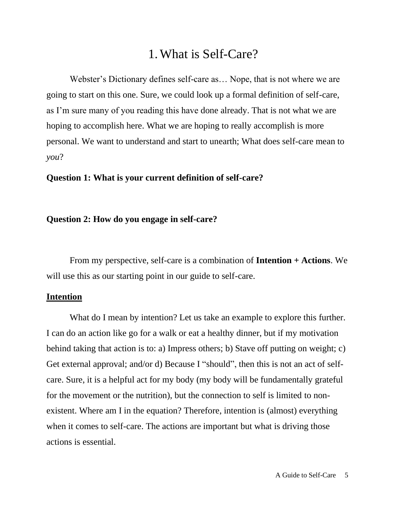## 1.What is Self-Care?

Webster's Dictionary defines self-care as… Nope, that is not where we are going to start on this one. Sure, we could look up a formal definition of self-care, as I'm sure many of you reading this have done already. That is not what we are hoping to accomplish here. What we are hoping to really accomplish is more personal. We want to understand and start to unearth; What does self-care mean to *you*?

#### **Question 1: What is your current definition of self-care?**

#### **Question 2: How do you engage in self-care?**

From my perspective, self-care is a combination of **Intention + Actions**. We will use this as our starting point in our guide to self-care.

#### **Intention**

What do I mean by intention? Let us take an example to explore this further. I can do an action like go for a walk or eat a healthy dinner, but if my motivation behind taking that action is to: a) Impress others; b) Stave off putting on weight; c) Get external approval; and/or d) Because I "should", then this is not an act of selfcare. Sure, it is a helpful act for my body (my body will be fundamentally grateful for the movement or the nutrition), but the connection to self is limited to nonexistent. Where am I in the equation? Therefore, intention is (almost) everything when it comes to self-care. The actions are important but what is driving those actions is essential.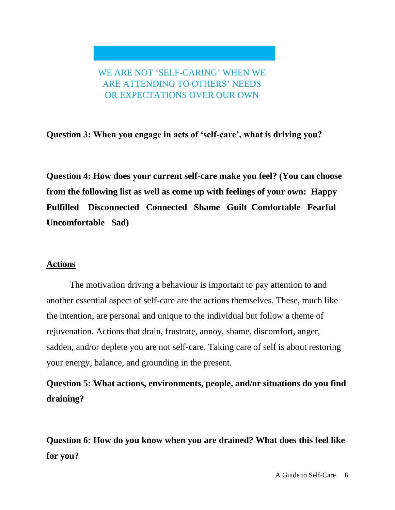WE ARE NOT 'SELF-CARING' WHEN WE ARE ATTENDING TO OTHERS' NEEDS OR EXPECTATIONS OVER OUR OWN

**Question 3: When you engage in acts of 'self-care', what is driving you?**

**Question 4: How does your current self-care make you feel? (You can choose from the following list as well as come up with feelings of your own: Happy Fulfilled Disconnected Connected Shame Guilt Comfortable Fearful Uncomfortable Sad)**

#### **Actions**

The motivation driving a behaviour is important to pay attention to and another essential aspect of self-care are the actions themselves. These, much like the intention, are personal and unique to the individual but follow a theme of rejuvenation. Actions that drain, frustrate, annoy, shame, discomfort, anger, sadden, and/or deplete you are not self-care. Taking care of self is about restoring your energy, balance, and grounding in the present.

**Question 5: What actions, environments, people, and/or situations do you find draining?**

**Question 6: How do you know when you are drained? What does this feel like for you?**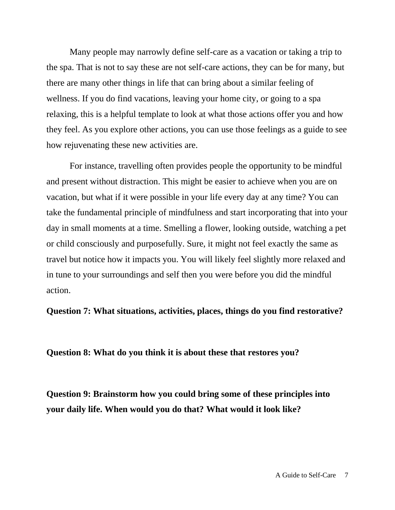Many people may narrowly define self-care as a vacation or taking a trip to the spa. That is not to say these are not self-care actions, they can be for many, but there are many other things in life that can bring about a similar feeling of wellness. If you do find vacations, leaving your home city, or going to a spa relaxing, this is a helpful template to look at what those actions offer you and how they feel. As you explore other actions, you can use those feelings as a guide to see how rejuvenating these new activities are.

For instance, travelling often provides people the opportunity to be mindful and present without distraction. This might be easier to achieve when you are on vacation, but what if it were possible in your life every day at any time? You can take the fundamental principle of mindfulness and start incorporating that into your day in small moments at a time. Smelling a flower, looking outside, watching a pet or child consciously and purposefully. Sure, it might not feel exactly the same as travel but notice how it impacts you. You will likely feel slightly more relaxed and in tune to your surroundings and self then you were before you did the mindful action.

**Question 7: What situations, activities, places, things do you find restorative?**

**Question 8: What do you think it is about these that restores you?**

**Question 9: Brainstorm how you could bring some of these principles into your daily life. When would you do that? What would it look like?**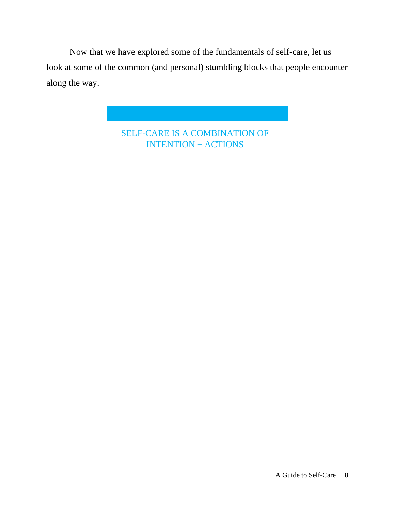Now that we have explored some of the fundamentals of self-care, let us look at some of the common (and personal) stumbling blocks that people encounter along the way.

> SELF-CARE IS A COMBINATION OF INTENTION + ACTIONS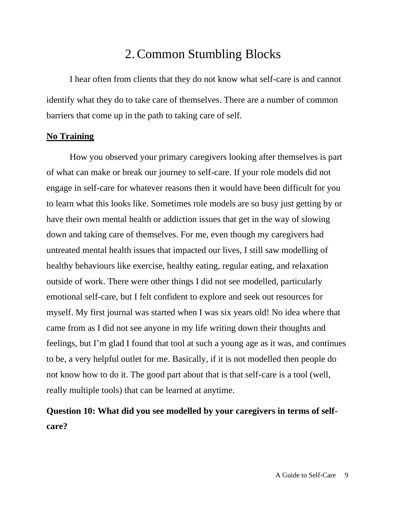## 2.Common Stumbling Blocks

I hear often from clients that they do not know what self-care is and cannot identify what they do to take care of themselves. There are a number of common barriers that come up in the path to taking care of self.

#### **No Training**

How you observed your primary caregivers looking after themselves is part of what can make or break our journey to self-care. If your role models did not engage in self-care for whatever reasons then it would have been difficult for you to learn what this looks like. Sometimes role models are so busy just getting by or have their own mental health or addiction issues that get in the way of slowing down and taking care of themselves. For me, even though my caregivers had untreated mental health issues that impacted our lives, I still saw modelling of healthy behaviours like exercise, healthy eating, regular eating, and relaxation outside of work. There were other things I did not see modelled, particularly emotional self-care, but I felt confident to explore and seek out resources for myself. My first journal was started when I was six years old! No idea where that came from as I did not see anyone in my life writing down their thoughts and feelings, but I'm glad I found that tool at such a young age as it was, and continues to be, a very helpful outlet for me. Basically, if it is not modelled then people do not know how to do it. The good part about that is that self-care is a tool (well, really multiple tools) that can be learned at anytime.

## **Question 10: What did you see modelled by your caregivers in terms of selfcare?**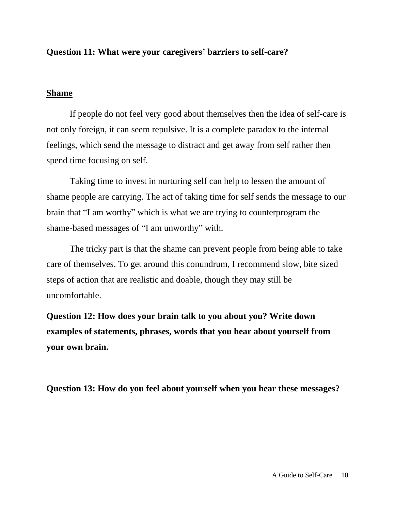#### **Question 11: What were your caregivers' barriers to self-care?**

#### **Shame**

If people do not feel very good about themselves then the idea of self-care is not only foreign, it can seem repulsive. It is a complete paradox to the internal feelings, which send the message to distract and get away from self rather then spend time focusing on self.

Taking time to invest in nurturing self can help to lessen the amount of shame people are carrying. The act of taking time for self sends the message to our brain that "I am worthy" which is what we are trying to counterprogram the shame-based messages of "I am unworthy" with.

The tricky part is that the shame can prevent people from being able to take care of themselves. To get around this conundrum, I recommend slow, bite sized steps of action that are realistic and doable, though they may still be uncomfortable.

**Question 12: How does your brain talk to you about you? Write down examples of statements, phrases, words that you hear about yourself from your own brain.**

**Question 13: How do you feel about yourself when you hear these messages?**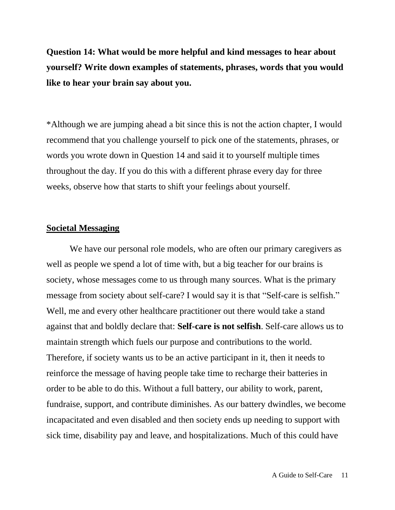**Question 14: What would be more helpful and kind messages to hear about yourself? Write down examples of statements, phrases, words that you would like to hear your brain say about you.**

\*Although we are jumping ahead a bit since this is not the action chapter, I would recommend that you challenge yourself to pick one of the statements, phrases, or words you wrote down in Question 14 and said it to yourself multiple times throughout the day. If you do this with a different phrase every day for three weeks, observe how that starts to shift your feelings about yourself.

#### **Societal Messaging**

We have our personal role models, who are often our primary caregivers as well as people we spend a lot of time with, but a big teacher for our brains is society, whose messages come to us through many sources. What is the primary message from society about self-care? I would say it is that "Self-care is selfish." Well, me and every other healthcare practitioner out there would take a stand against that and boldly declare that: **Self-care is not selfish**. Self-care allows us to maintain strength which fuels our purpose and contributions to the world. Therefore, if society wants us to be an active participant in it, then it needs to reinforce the message of having people take time to recharge their batteries in order to be able to do this. Without a full battery, our ability to work, parent, fundraise, support, and contribute diminishes. As our battery dwindles, we become incapacitated and even disabled and then society ends up needing to support with sick time, disability pay and leave, and hospitalizations. Much of this could have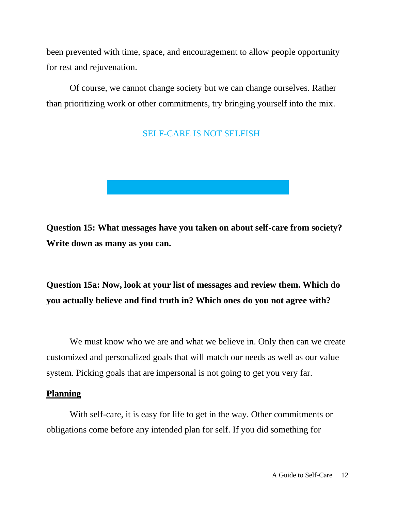been prevented with time, space, and encouragement to allow people opportunity for rest and rejuvenation.

Of course, we cannot change society but we can change ourselves. Rather than prioritizing work or other commitments, try bringing yourself into the mix.

## SELF-CARE IS NOT SELFISH



**Question 15: What messages have you taken on about self-care from society? Write down as many as you can.** 

## **Question 15a: Now, look at your list of messages and review them. Which do you actually believe and find truth in? Which ones do you not agree with?**

We must know who we are and what we believe in. Only then can we create customized and personalized goals that will match our needs as well as our value system. Picking goals that are impersonal is not going to get you very far.

#### **Planning**

With self-care, it is easy for life to get in the way. Other commitments or obligations come before any intended plan for self. If you did something for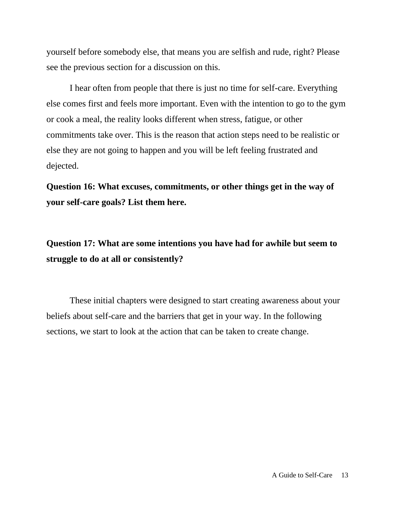yourself before somebody else, that means you are selfish and rude, right? Please see the previous section for a discussion on this.

I hear often from people that there is just no time for self-care. Everything else comes first and feels more important. Even with the intention to go to the gym or cook a meal, the reality looks different when stress, fatigue, or other commitments take over. This is the reason that action steps need to be realistic or else they are not going to happen and you will be left feeling frustrated and dejected.

**Question 16: What excuses, commitments, or other things get in the way of your self-care goals? List them here.** 

**Question 17: What are some intentions you have had for awhile but seem to struggle to do at all or consistently?** 

These initial chapters were designed to start creating awareness about your beliefs about self-care and the barriers that get in your way. In the following sections, we start to look at the action that can be taken to create change.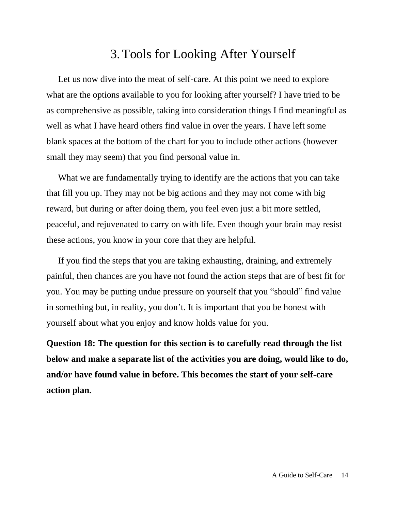## 3.Tools for Looking After Yourself

Let us now dive into the meat of self-care. At this point we need to explore what are the options available to you for looking after yourself? I have tried to be as comprehensive as possible, taking into consideration things I find meaningful as well as what I have heard others find value in over the years. I have left some blank spaces at the bottom of the chart for you to include other actions (however small they may seem) that you find personal value in.

What we are fundamentally trying to identify are the actions that you can take that fill you up. They may not be big actions and they may not come with big reward, but during or after doing them, you feel even just a bit more settled, peaceful, and rejuvenated to carry on with life. Even though your brain may resist these actions, you know in your core that they are helpful.

If you find the steps that you are taking exhausting, draining, and extremely painful, then chances are you have not found the action steps that are of best fit for you. You may be putting undue pressure on yourself that you "should" find value in something but, in reality, you don't. It is important that you be honest with yourself about what you enjoy and know holds value for you.

**Question 18: The question for this section is to carefully read through the list below and make a separate list of the activities you are doing, would like to do, and/or have found value in before. This becomes the start of your self-care action plan.**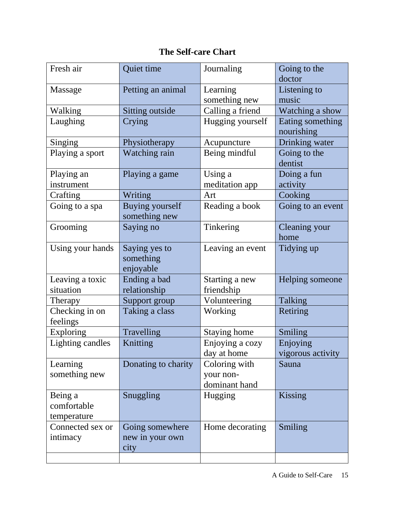## **The Self-care Chart**

| Fresh air                             | Quiet time                                 | Journaling                                  | Going to the<br>doctor         |
|---------------------------------------|--------------------------------------------|---------------------------------------------|--------------------------------|
| Massage                               | Petting an animal                          | Learning<br>something new                   | Listening to<br>music          |
| Walking                               | Sitting outside                            | Calling a friend                            | Watching a show                |
| Laughing                              | Crying                                     | Hugging yourself                            | Eating something<br>nourishing |
| Singing                               | Physiotherapy                              | Acupuncture                                 | Drinking water                 |
| Playing a sport                       | Watching rain                              | Being mindful                               | Going to the<br>dentist        |
| Playing an<br>instrument              | Playing a game                             | Using a<br>meditation app                   | Doing a fun<br>activity        |
| Crafting                              | Writing                                    | Art                                         | Cooking                        |
| Going to a spa                        | <b>Buying yourself</b><br>something new    | Reading a book                              | Going to an event              |
| Grooming                              | Saying no                                  | Tinkering                                   | <b>Cleaning your</b><br>home   |
| Using your hands                      | Saying yes to<br>something<br>enjoyable    | Leaving an event                            | Tidying up                     |
| Leaving a toxic                       | Ending a bad                               | Starting a new                              | Helping someone                |
| situation                             | relationship                               | friendship                                  |                                |
| Therapy                               | Support group                              | Volunteering                                | Talking                        |
| Checking in on<br>feelings            | Taking a class                             | Working                                     | Retiring                       |
| <b>Exploring</b>                      | Travelling                                 | <b>Staying home</b>                         | Smiling                        |
| <b>Lighting candles</b>               | Knitting                                   | Enjoying a cozy<br>day at home              | Enjoying<br>vigorous activity  |
| Learning<br>something new             | Donating to charity                        | Coloring with<br>your non-<br>dominant hand | Sauna                          |
| Being a<br>comfortable<br>temperature | Snuggling                                  | Hugging                                     | Kissing                        |
| Connected sex or<br>intimacy          | Going somewhere<br>new in your own<br>city | Home decorating                             | Smiling                        |
|                                       |                                            |                                             |                                |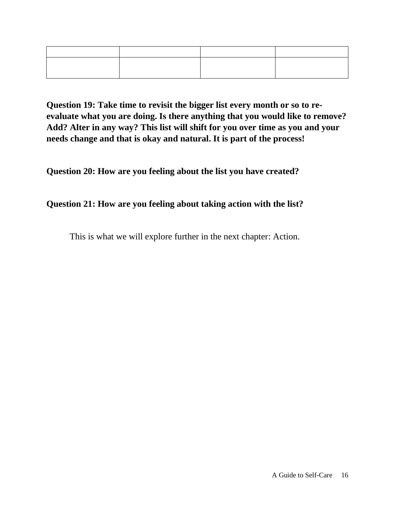**Question 19: Take time to revisit the bigger list every month or so to reevaluate what you are doing. Is there anything that you would like to remove? Add? Alter in any way? This list will shift for you over time as you and your needs change and that is okay and natural. It is part of the process!**

**Question 20: How are you feeling about the list you have created?** 

## **Question 21: How are you feeling about taking action with the list?**

This is what we will explore further in the next chapter: Action.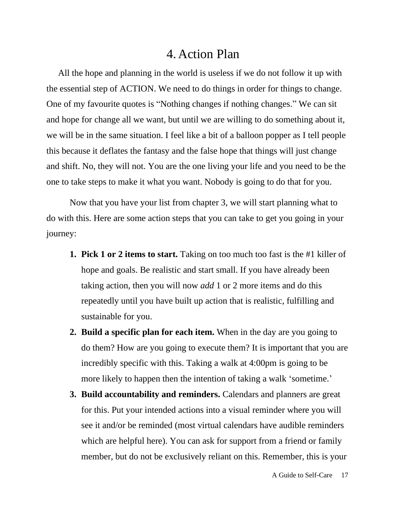## 4. Action Plan

All the hope and planning in the world is useless if we do not follow it up with the essential step of ACTION. We need to do things in order for things to change. One of my favourite quotes is "Nothing changes if nothing changes." We can sit and hope for change all we want, but until we are willing to do something about it, we will be in the same situation. I feel like a bit of a balloon popper as I tell people this because it deflates the fantasy and the false hope that things will just change and shift. No, they will not. You are the one living your life and you need to be the one to take steps to make it what you want. Nobody is going to do that for you.

Now that you have your list from chapter 3, we will start planning what to do with this. Here are some action steps that you can take to get you going in your journey:

- **1. Pick 1 or 2 items to start.** Taking on too much too fast is the #1 killer of hope and goals. Be realistic and start small. If you have already been taking action, then you will now *add* 1 or 2 more items and do this repeatedly until you have built up action that is realistic, fulfilling and sustainable for you.
- **2. Build a specific plan for each item.** When in the day are you going to do them? How are you going to execute them? It is important that you are incredibly specific with this. Taking a walk at 4:00pm is going to be more likely to happen then the intention of taking a walk 'sometime.'
- **3. Build accountability and reminders.** Calendars and planners are great for this. Put your intended actions into a visual reminder where you will see it and/or be reminded (most virtual calendars have audible reminders which are helpful here). You can ask for support from a friend or family member, but do not be exclusively reliant on this. Remember, this is your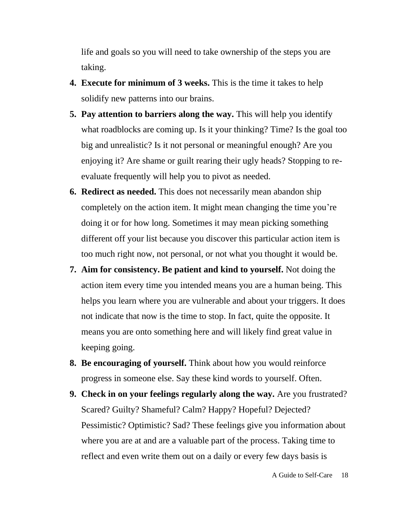life and goals so you will need to take ownership of the steps you are taking.

- **4. Execute for minimum of 3 weeks.** This is the time it takes to help solidify new patterns into our brains.
- **5. Pay attention to barriers along the way.** This will help you identify what roadblocks are coming up. Is it your thinking? Time? Is the goal too big and unrealistic? Is it not personal or meaningful enough? Are you enjoying it? Are shame or guilt rearing their ugly heads? Stopping to reevaluate frequently will help you to pivot as needed.
- **6. Redirect as needed.** This does not necessarily mean abandon ship completely on the action item. It might mean changing the time you're doing it or for how long. Sometimes it may mean picking something different off your list because you discover this particular action item is too much right now, not personal, or not what you thought it would be.
- **7. Aim for consistency. Be patient and kind to yourself.** Not doing the action item every time you intended means you are a human being. This helps you learn where you are vulnerable and about your triggers. It does not indicate that now is the time to stop. In fact, quite the opposite. It means you are onto something here and will likely find great value in keeping going.
- **8. Be encouraging of yourself.** Think about how you would reinforce progress in someone else. Say these kind words to yourself. Often.
- **9. Check in on your feelings regularly along the way.** Are you frustrated? Scared? Guilty? Shameful? Calm? Happy? Hopeful? Dejected? Pessimistic? Optimistic? Sad? These feelings give you information about where you are at and are a valuable part of the process. Taking time to reflect and even write them out on a daily or every few days basis is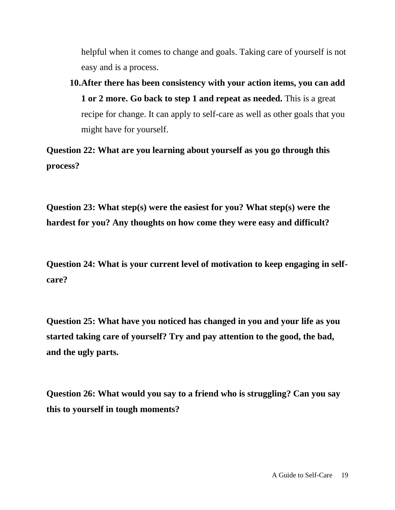helpful when it comes to change and goals. Taking care of yourself is not easy and is a process.

**10.After there has been consistency with your action items, you can add 1 or 2 more. Go back to step 1 and repeat as needed.** This is a great recipe for change. It can apply to self-care as well as other goals that you might have for yourself.

**Question 22: What are you learning about yourself as you go through this process?**

**Question 23: What step(s) were the easiest for you? What step(s) were the hardest for you? Any thoughts on how come they were easy and difficult?**

**Question 24: What is your current level of motivation to keep engaging in selfcare?**

**Question 25: What have you noticed has changed in you and your life as you started taking care of yourself? Try and pay attention to the good, the bad, and the ugly parts.** 

**Question 26: What would you say to a friend who is struggling? Can you say this to yourself in tough moments?**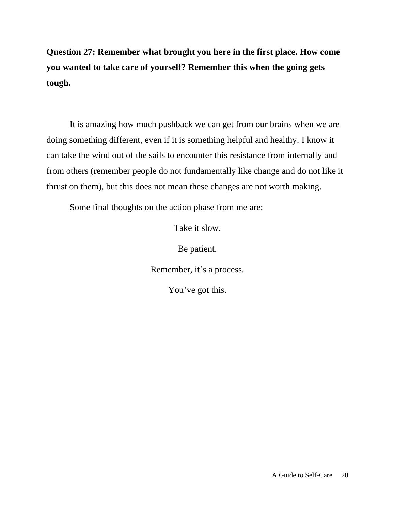**Question 27: Remember what brought you here in the first place. How come you wanted to take care of yourself? Remember this when the going gets tough.**

It is amazing how much pushback we can get from our brains when we are doing something different, even if it is something helpful and healthy. I know it can take the wind out of the sails to encounter this resistance from internally and from others (remember people do not fundamentally like change and do not like it thrust on them), but this does not mean these changes are not worth making.

Some final thoughts on the action phase from me are:

Take it slow.

Be patient.

Remember, it's a process.

You've got this.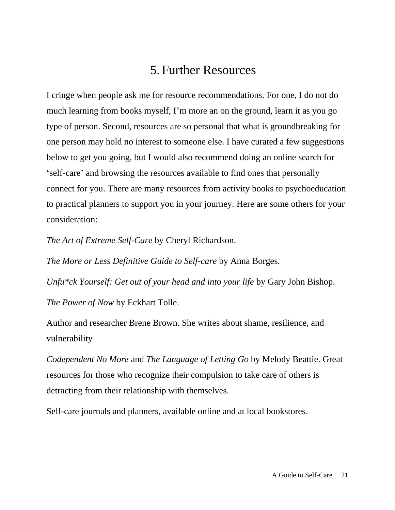## 5. Further Resources

I cringe when people ask me for resource recommendations. For one, I do not do much learning from books myself, I'm more an on the ground, learn it as you go type of person. Second, resources are so personal that what is groundbreaking for one person may hold no interest to someone else. I have curated a few suggestions below to get you going, but I would also recommend doing an online search for 'self-care' and browsing the resources available to find ones that personally connect for you. There are many resources from activity books to psychoeducation to practical planners to support you in your journey. Here are some others for your consideration:

*The Art of Extreme Self-Care* by Cheryl Richardson.

*The More or Less Definitive Guide to Self-care* by Anna Borges.

*Unfu\*ck Yourself: Get out of your head and into your life* by Gary John Bishop. *The Power of Now* by Eckhart Tolle.

Author and researcher Brene Brown. She writes about shame, resilience, and vulnerability

*Codependent No More* and *The Language of Letting Go* by Melody Beattie. Great resources for those who recognize their compulsion to take care of others is detracting from their relationship with themselves.

Self-care journals and planners, available online and at local bookstores.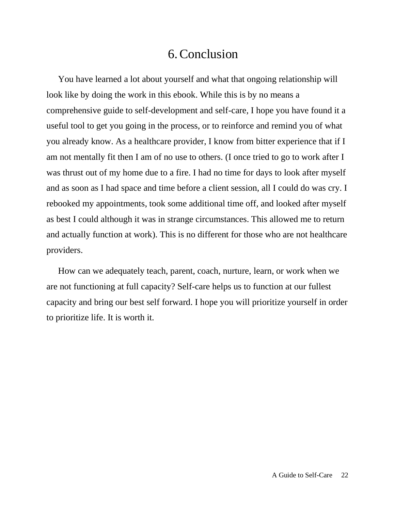## 6.Conclusion

You have learned a lot about yourself and what that ongoing relationship will look like by doing the work in this ebook. While this is by no means a comprehensive guide to self-development and self-care, I hope you have found it a useful tool to get you going in the process, or to reinforce and remind you of what you already know. As a healthcare provider, I know from bitter experience that if I am not mentally fit then I am of no use to others. (I once tried to go to work after I was thrust out of my home due to a fire. I had no time for days to look after myself and as soon as I had space and time before a client session, all I could do was cry. I rebooked my appointments, took some additional time off, and looked after myself as best I could although it was in strange circumstances. This allowed me to return and actually function at work). This is no different for those who are not healthcare providers.

How can we adequately teach, parent, coach, nurture, learn, or work when we are not functioning at full capacity? Self-care helps us to function at our fullest capacity and bring our best self forward. I hope you will prioritize yourself in order to prioritize life. It is worth it.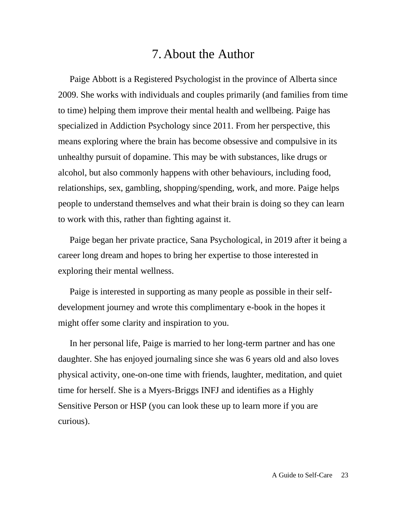## 7. About the Author

Paige Abbott is a Registered Psychologist in the province of Alberta since 2009. She works with individuals and couples primarily (and families from time to time) helping them improve their mental health and wellbeing. Paige has specialized in Addiction Psychology since 2011. From her perspective, this means exploring where the brain has become obsessive and compulsive in its unhealthy pursuit of dopamine. This may be with substances, like drugs or alcohol, but also commonly happens with other behaviours, including food, relationships, sex, gambling, shopping/spending, work, and more. Paige helps people to understand themselves and what their brain is doing so they can learn to work with this, rather than fighting against it.

Paige began her private practice, Sana Psychological, in 2019 after it being a career long dream and hopes to bring her expertise to those interested in exploring their mental wellness.

Paige is interested in supporting as many people as possible in their selfdevelopment journey and wrote this complimentary e-book in the hopes it might offer some clarity and inspiration to you.

In her personal life, Paige is married to her long-term partner and has one daughter. She has enjoyed journaling since she was 6 years old and also loves physical activity, one-on-one time with friends, laughter, meditation, and quiet time for herself. She is a Myers-Briggs INFJ and identifies as a Highly Sensitive Person or HSP (you can look these up to learn more if you are curious).